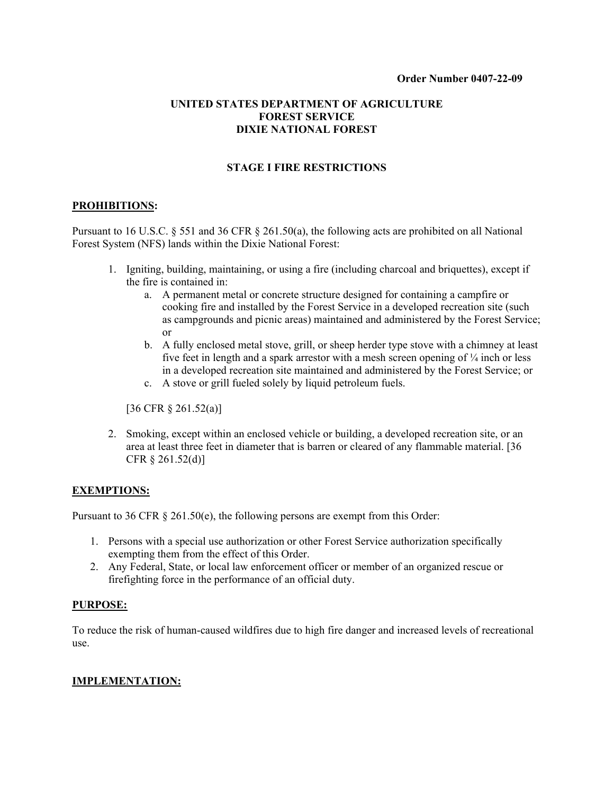## **UNITED STATES DEPARTMENT OF AGRICULTURE FOREST SERVICE DIXIE NATIONAL FOREST**

# **STAGE I FIRE RESTRICTIONS**

#### **PROHIBITIONS:**

Pursuant to 16 U.S.C. § 551 and 36 CFR § 261.50(a), the following acts are prohibited on all National Forest System (NFS) lands within the Dixie National Forest:

- 1. Igniting, building, maintaining, or using a fire (including charcoal and briquettes), except if the fire is contained in:
	- a. A permanent metal or concrete structure designed for containing a campfire or cooking fire and installed by the Forest Service in a developed recreation site (such as campgrounds and picnic areas) maintained and administered by the Forest Service; or
	- b. A fully enclosed metal stove, grill, or sheep herder type stove with a chimney at least five feet in length and a spark arrestor with a mesh screen opening of  $\frac{1}{4}$  inch or less in a developed recreation site maintained and administered by the Forest Service; or
	- c. A stove or grill fueled solely by liquid petroleum fuels.

[36 CFR § 261.52(a)]

2. Smoking, except within an enclosed vehicle or building, a developed recreation site, or an area at least three feet in diameter that is barren or cleared of any flammable material. [36 CFR § 261.52(d)]

### **EXEMPTIONS:**

Pursuant to 36 CFR  $\S$  261.50(e), the following persons are exempt from this Order:

- 1. Persons with a special use authorization or other Forest Service authorization specifically exempting them from the effect of this Order.
- 2. Any Federal, State, or local law enforcement officer or member of an organized rescue or firefighting force in the performance of an official duty.

#### **PURPOSE:**

To reduce the risk of human-caused wildfires due to high fire danger and increased levels of recreational use.

### **IMPLEMENTATION:**